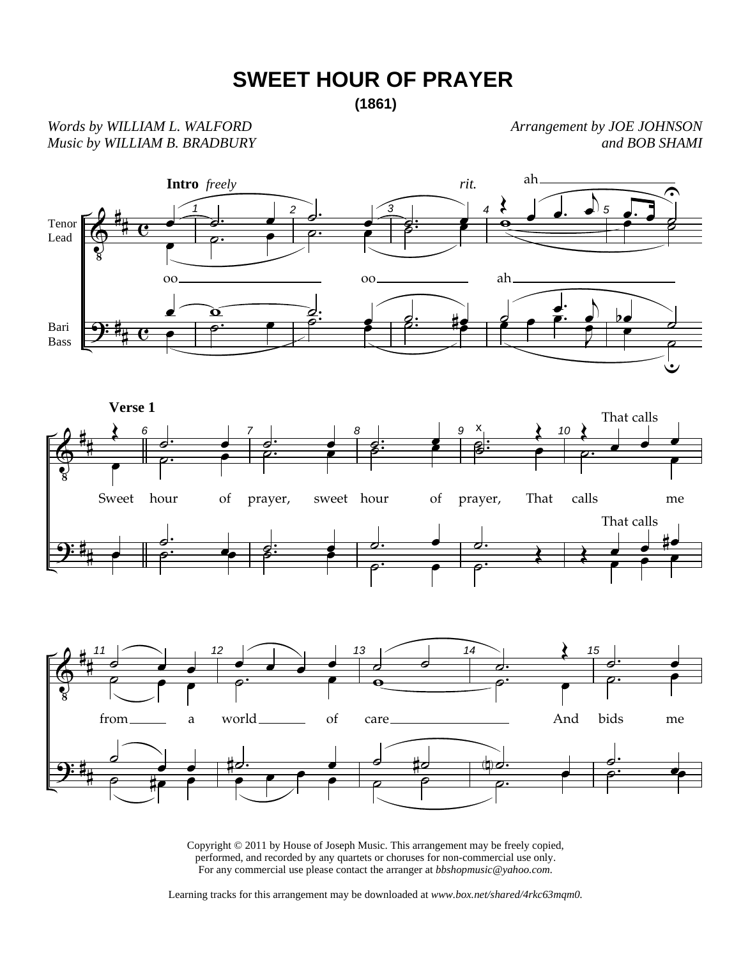## **SWEET HOUR OF PRAYER**

*Words by WILLIAM L. WALFORD Music by WILLIAM B. BRADBURY*  *Arrangement by JOE JOHNSON and BOB SHAMI*



Copyright © 2011 by House of Joseph Music. This arrangement may be freely copied, performed, and recorded by any quartets or choruses for non-commercial use only. For any commercial use please contact the arranger at *bbshopmusic@yahoo.com.*

Learning tracks for this arrangement may be downloaded at *www.box.net/shared/4rkc63mqm0.*

**<sup>(1861)</sup>**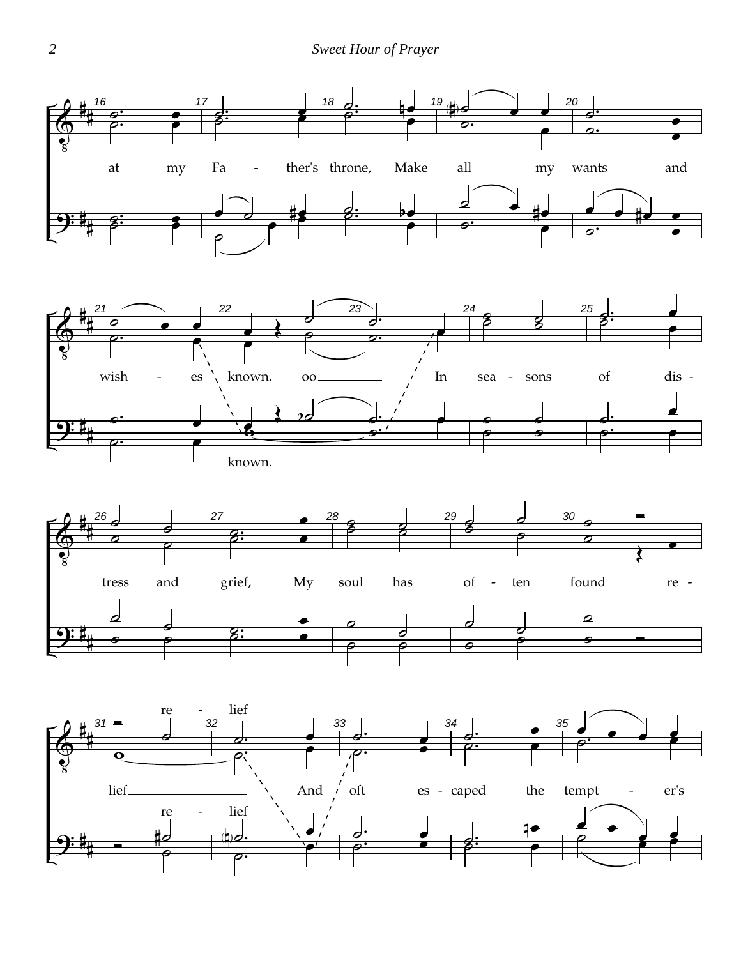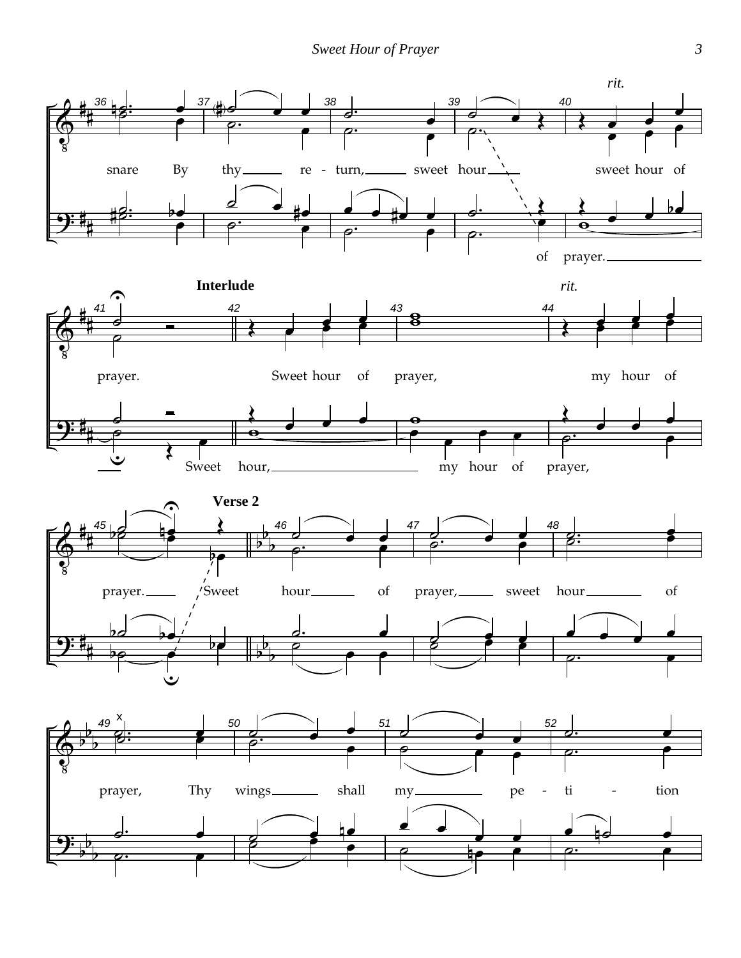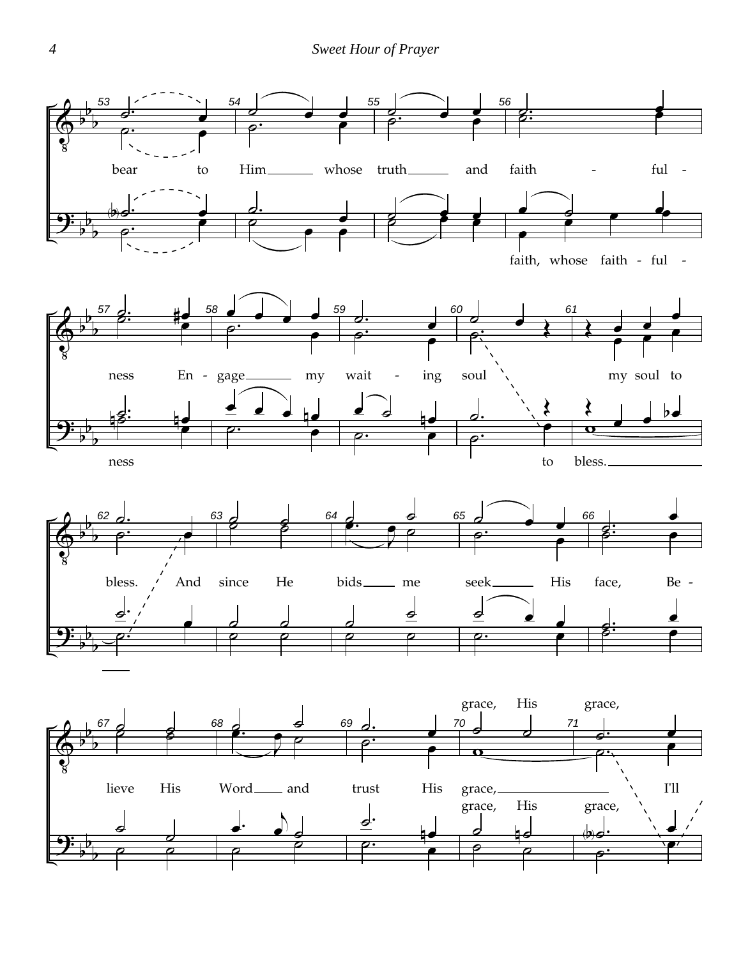